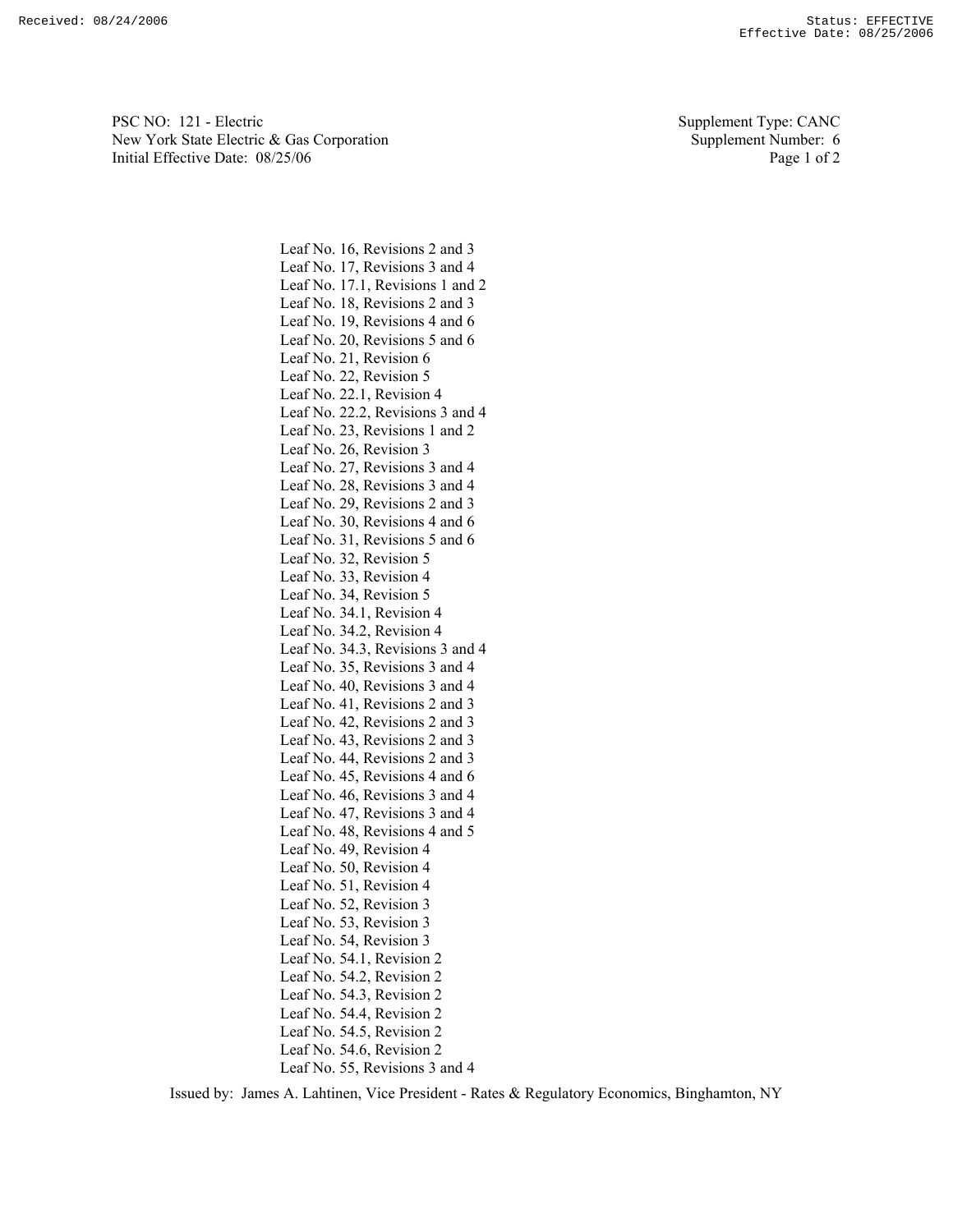PSC NO: 121 - Electric Supplement Type: CANC New York State Electric & Gas Corporation Supplement Number: 6 Initial Effective Date:  $08/25/06$  Page 1 of 2

Leaf No. 16, Revisions 2 and 3 Leaf No. 17, Revisions 3 and 4 Leaf No. 17.1, Revisions 1 and 2 Leaf No. 18, Revisions 2 and 3 Leaf No. 19, Revisions 4 and 6 Leaf No. 20, Revisions 5 and 6 Leaf No. 21, Revision 6 Leaf No. 22, Revision 5 Leaf No. 22.1, Revision 4 Leaf No. 22.2, Revisions 3 and 4 Leaf No. 23, Revisions 1 and 2 Leaf No. 26, Revision 3 Leaf No. 27, Revisions 3 and 4 Leaf No. 28, Revisions 3 and 4 Leaf No. 29, Revisions 2 and 3 Leaf No. 30, Revisions 4 and 6 Leaf No. 31, Revisions 5 and 6 Leaf No. 32, Revision 5 Leaf No. 33, Revision 4 Leaf No. 34, Revision 5 Leaf No. 34.1, Revision 4 Leaf No. 34.2, Revision 4 Leaf No. 34.3, Revisions 3 and 4 Leaf No. 35, Revisions 3 and 4 Leaf No. 40, Revisions 3 and 4 Leaf No. 41, Revisions 2 and 3 Leaf No. 42, Revisions 2 and 3 Leaf No. 43, Revisions 2 and 3 Leaf No. 44, Revisions 2 and 3 Leaf No. 45, Revisions 4 and 6 Leaf No. 46, Revisions 3 and 4 Leaf No. 47, Revisions 3 and 4 Leaf No. 48, Revisions 4 and 5 Leaf No. 49, Revision 4 Leaf No. 50, Revision 4 Leaf No. 51, Revision 4 Leaf No. 52, Revision 3 Leaf No. 53, Revision 3 Leaf No. 54, Revision 3 Leaf No. 54.1, Revision 2 Leaf No. 54.2, Revision 2 Leaf No. 54.3, Revision 2 Leaf No. 54.4, Revision 2 Leaf No. 54.5, Revision 2 Leaf No. 54.6, Revision 2 Leaf No. 55, Revisions 3 and 4

Issued by: James A. Lahtinen, Vice President - Rates & Regulatory Economics, Binghamton, NY